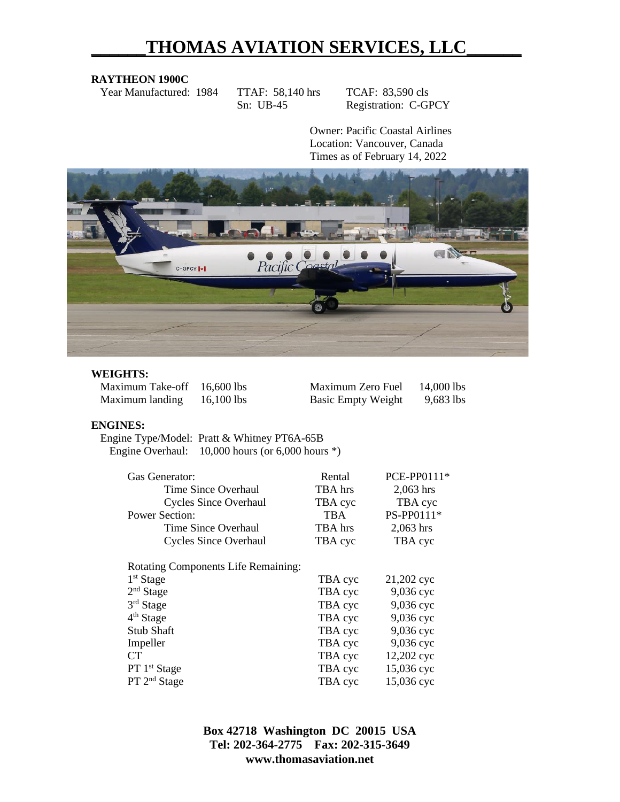# **\_\_\_\_\_\_THOMAS AVIATION SERVICES, LLC\_\_\_\_\_\_**

#### **RAYTHEON 1900C**

Year Manufactured: 1984 TTAF: 58,140 hrs TCAF: 83,590 cls

Sn: UB-45 Registration: C-GPCY

Owner: Pacific Coastal Airlines Location: Vancouver, Canada Times as of February 14, 2022



#### **WEIGHTS:**

Maximum Take-off  $16,600$  lbs Maximum landing  $16,100$  lbs

| Maximum Zero Fuel         | 14,000 lbs |
|---------------------------|------------|
| <b>Basic Empty Weight</b> | 9,683 lbs  |

#### **ENGINES:**

Engine Type/Model: Pratt & Whitney PT6A-65B Engine Overhaul: 10,000 hours (or 6,000 hours \*)

| Gas Generator:                             | Rental  | PCE-PP0111* |
|--------------------------------------------|---------|-------------|
| Time Since Overhaul                        | TBA hrs | $2,063$ hrs |
| <b>Cycles Since Overhaul</b>               | TBA cyc | TBA cyc     |
| <b>Power Section:</b>                      | TBA     | PS-PP0111*  |
| Time Since Overhaul                        | TBA hrs | $2,063$ hrs |
| <b>Cycles Since Overhaul</b>               | TBA cyc | TBA cyc     |
| <b>Rotating Components Life Remaining:</b> |         |             |
| $1st$ Stage                                | TBA cyc | 21,202 cyc  |
| $2nd$ Stage                                | TBA cyc | 9,036 сус   |
| 3rd Stage                                  | TBA cyc | 9,036 cyc   |
| 4 <sup>th</sup> Stage                      | TBA cyc | 9,036 сус   |
| Stub Shaft                                 | TBA cyc | 9,036 сус   |
| Impeller                                   | TBA cyc | 9,036 сус   |
| <b>CT</b>                                  | TBA cyc | 12,202 cyc  |
| PT 1 <sup>st</sup> Stage                   | TBA cyc | 15,036 сус  |
| PT 2 <sup>nd</sup> Stage                   | TBA cyc | 15,036 сус  |

**Box 42718 Washington DC 20015 USA Tel: 202-364-2775 Fax: 202-315-3649 www.thomasaviation.net**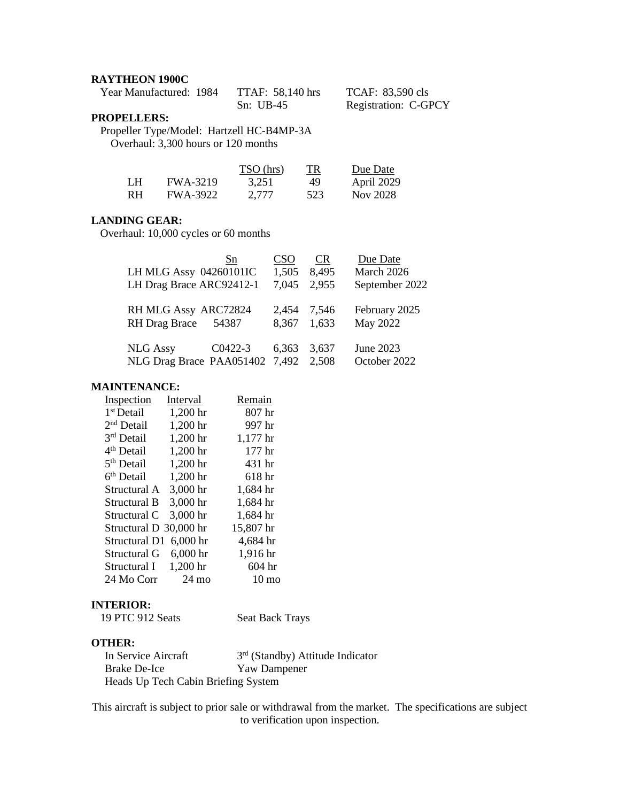#### **RAYTHEON 1900C**

| Year Manufactured: 1984 | <b>TTAF: 58,140 hrs</b> | TCAF: 83,590 cls     |
|-------------------------|-------------------------|----------------------|
|                         | $Sn: UB-45$             | Registration: C-GPCY |

# **PROPELLERS:**

Propeller Type/Model: Hartzell HC-B4MP-3A Overhaul: 3,300 hours or 120 months

|           |                 | TSO (hrs) | TR. | Due Date   |
|-----------|-----------------|-----------|-----|------------|
| LH        | <b>FWA-3219</b> | 3.251     | 49  | April 2029 |
| <b>RH</b> | <b>FWA-3922</b> | 2.777     | 523 | Nov 2028   |

# **LANDING GEAR:**

Overhaul: 10,000 cycles or 60 months

| LH MLG Assy 04260101IC<br>LH Drag Brace ARC92412-1 | Sn      | <b>CSO</b><br>1,505<br>7,045 | <b>CR</b><br>8,495<br>2.955 | Due Date<br>March 2026<br>September 2022 |
|----------------------------------------------------|---------|------------------------------|-----------------------------|------------------------------------------|
| RH MLG Assy ARC72824<br><b>RH</b> Drag Brace       | 54387   | 2,454<br>8,367               | 7,546<br>1,633              | February 2025<br>May 2022                |
| <b>NLG Assy</b><br>NLG Drag Brace PAA051402 7,492  | C0422-3 | 6,363                        | 3,637<br>2,508              | June 2023<br>October 2022                |

## **MAINTENANCE:**

| <u>Inspection</u>      | Interval   | Remain          |
|------------------------|------------|-----------------|
| 1 <sup>st</sup> Detail | 1,200 hr   | 807 hr          |
| 2 <sup>nd</sup> Detail | 1,200 hr   | 997 hr          |
| 3rd Detail             | 1,200 hr   | 1,177 hr        |
| 4 <sup>th</sup> Detail | 1,200 hr   | 177 hr          |
| 5 <sup>th</sup> Detail | 1,200 hr   | 431 hr          |
| 6 <sup>th</sup> Detail | 1,200 hr   | 618 hr          |
| Structural A           | 3,000 hr   | 1,684 hr        |
| Structural B           | 3,000 hr   | 1,684 hr        |
| Structural C           | 3,000 hr   | 1,684 hr        |
| Structural D 30,000 hr |            | 15,807 hr       |
| Structural D1          | $6,000$ hr | 4,684 hr        |
| Structural G           | $6,000$ hr | 1,916 hr        |
| Structural I           | 1,200 hr   | 604 hr          |
| 24 Mo Corr             | 24 mo      | $10 \text{ mo}$ |

# **INTERIOR:**

| 19 PTC 912 Seats | <b>Seat Back Trays</b> |
|------------------|------------------------|
|------------------|------------------------|

# **OTHER:**

| In Service Aircraft                 | $3rd$ (Standby) Attitude Indicator |
|-------------------------------------|------------------------------------|
| Brake De-Ice                        | <b>Yaw Dampener</b>                |
| Heads Up Tech Cabin Briefing System |                                    |

This aircraft is subject to prior sale or withdrawal from the market. The specifications are subject to verification upon inspection.